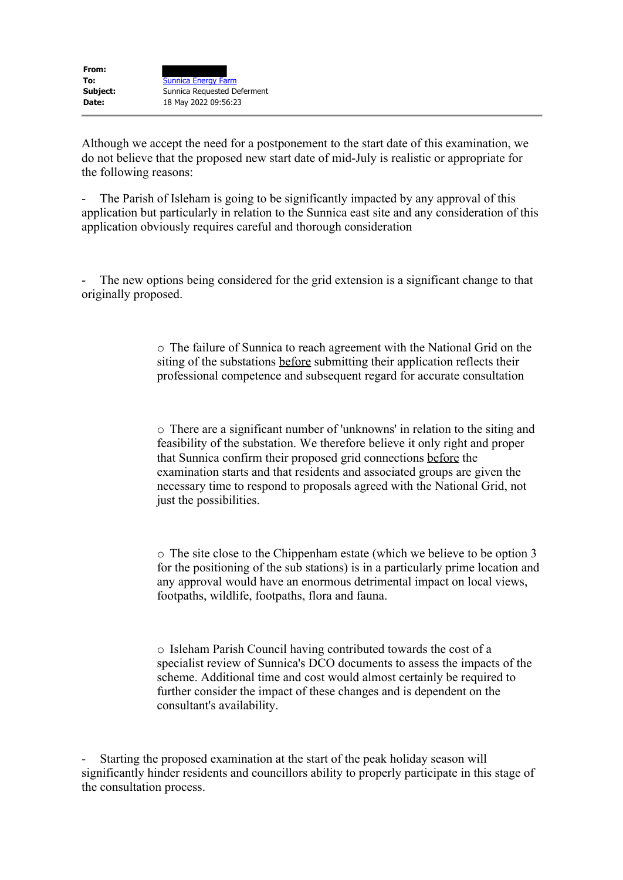Although we accept the need for a postponement to the start date of this examination, we do not believe that the proposed new start date of mid-July is realistic or appropriate for the following reasons:

The Parish of Isleham is going to be significantly impacted by any approval of this application but particularly in relation to the Sunnica east site and any consideration of this application obviously requires careful and thorough consideration

The new options being considered for the grid extension is a significant change to that originally proposed.

> o The failure of Sunnica to reach agreement with the National Grid on the siting of the substations before submitting their application reflects their professional competence and subsequent regard for accurate consultation

> o There are a significant number of 'unknowns' in relation to the siting and feasibility of the substation. We therefore believe it only right and proper that Sunnica confirm their proposed grid connections before the examination starts and that residents and associated groups are given the necessary time to respond to proposals agreed with the National Grid, not just the possibilities.

o The site close to the Chippenham estate (which we believe to be option 3 for the positioning of the sub stations) is in a particularly prime location and any approval would have an enormous detrimental impact on local views, footpaths, wildlife, footpaths, flora and fauna.

o Isleham Parish Council having contributed towards the cost of a specialist review of Sunnica's DCO documents to assess the impacts of the scheme. Additional time and cost would almost certainly be required to further consider the impact of these changes and is dependent on the consultant's availability.

Starting the proposed examination at the start of the peak holiday season will significantly hinder residents and councillors ability to properly participate in this stage of the consultation process.